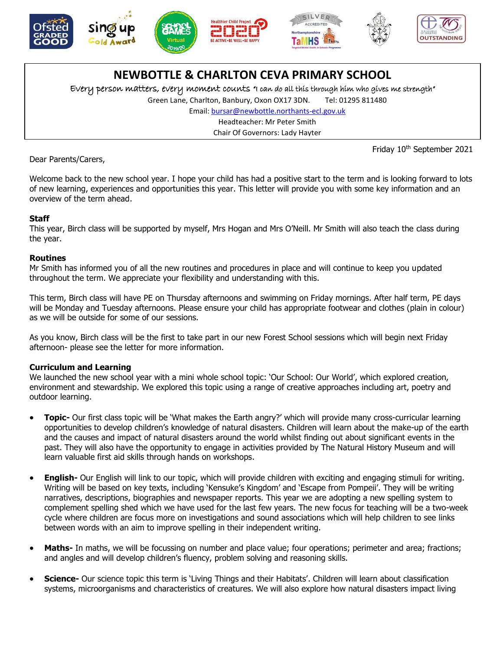





# **NEWBOTTLE & CHARLTON CEVA PRIMARY SCHOOL**

Every person matters, every moment counts "I can do all this through him who gives me strength"

Green Lane, Charlton, Banbury, Oxon OX17 3DN. Tel: 01295 811480

Email[: bursar@newbottle.northants-ecl.gov.uk](mailto:bursar@newbottle.northants-ecl.gov.uk)

Headteacher: Mr Peter Smith

Chair Of Governors: Lady Hayter

Friday 10<sup>th</sup> September 2021

Dear Parents/Carers,

Welcome back to the new school year. I hope your child has had a positive start to the term and is looking forward to lots 7 thof new learning, experiences and opportunities this year. This letter will provide you with some key information and an overview of the term ahead.

## **Staff**

This year, Birch class will be supported by myself, Mrs Hogan and Mrs O'Neill. Mr Smith will also teach the class during the year.

### **Routines**

Mr Smith has informed you of all the new routines and procedures in place and will continue to keep you updated throughout the term. We appreciate your flexibility and understanding with this.

This term, Birch class will have PE on Thursday afternoons and swimming on Friday mornings. After half term, PE days will be Monday and Tuesday afternoons. Please ensure your child has appropriate footwear and clothes (plain in colour) as we will be outside for some of our sessions.

As you know, Birch class will be the first to take part in our new Forest School sessions which will begin next Friday afternoon- please see the letter for more information.

## **Curriculum and Learning**

We launched the new school year with a mini whole school topic: 'Our School: Our World', which explored creation, environment and stewardship. We explored this topic using a range of creative approaches including art, poetry and outdoor learning.

- **Topic-** Our first class topic will be 'What makes the Earth angry?' which will provide many cross-curricular learning opportunities to develop children's knowledge of natural disasters. Children will learn about the make-up of the earth and the causes and impact of natural disasters around the world whilst finding out about significant events in the past. They will also have the opportunity to engage in activities provided by The Natural History Museum and will learn valuable first aid skills through hands on workshops.
- **English-** Our English will link to our topic, which will provide children with exciting and engaging stimuli for writing. Writing will be based on key texts, including 'Kensuke's Kingdom' and 'Escape from Pompeii'. They will be writing narratives, descriptions, biographies and newspaper reports. This year we are adopting a new spelling system to complement spelling shed which we have used for the last few years. The new focus for teaching will be a two-week cycle where children are focus more on investigations and sound associations which will help children to see links between words with an aim to improve spelling in their independent writing.
- **Maths-** In maths, we will be focussing on number and place value; four operations; perimeter and area; fractions; and angles and will develop children's fluency, problem solving and reasoning skills.
- **Science-** Our science topic this term is 'Living Things and their Habitats'. Children will learn about classification systems, microorganisms and characteristics of creatures. We will also explore how natural disasters impact living